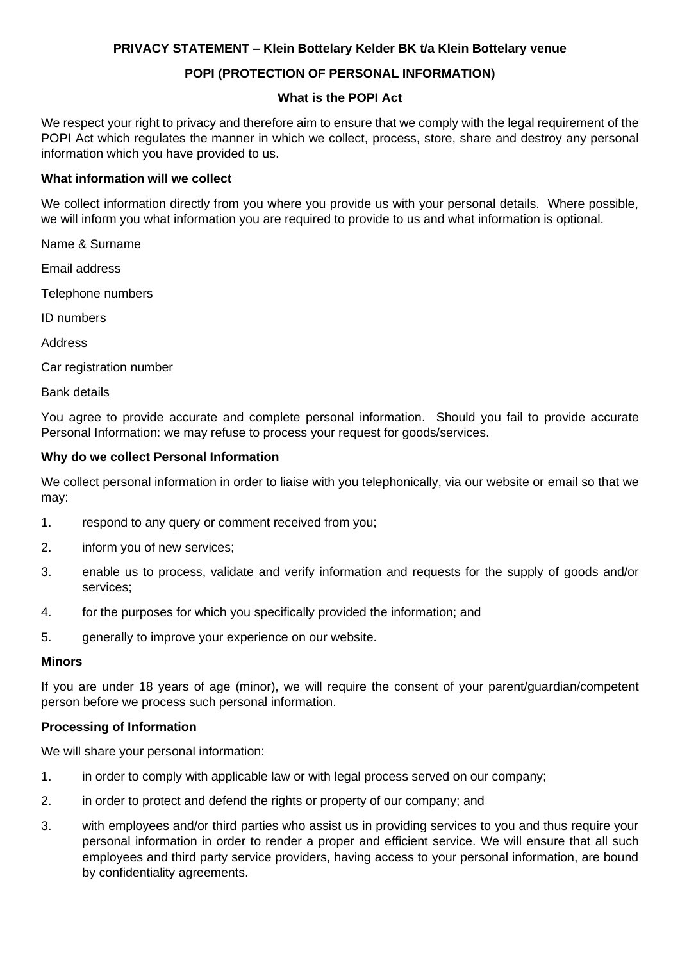# **PRIVACY STATEMENT – Klein Bottelary Kelder BK t/a Klein Bottelary venue**

## **POPI (PROTECTION OF PERSONAL INFORMATION)**

### **What is the POPI Act**

We respect your right to privacy and therefore aim to ensure that we comply with the legal requirement of the POPI Act which regulates the manner in which we collect, process, store, share and destroy any personal information which you have provided to us.

### **What information will we collect**

We collect information directly from you where you provide us with your personal details. Where possible, we will inform you what information you are required to provide to us and what information is optional.

Name & Surname

Email address

Telephone numbers

ID numbers

**Address** 

Car registration number

Bank details

You agree to provide accurate and complete personal information. Should you fail to provide accurate Personal Information: we may refuse to process your request for goods/services.

### **Why do we collect Personal Information**

We collect personal information in order to liaise with you telephonically, via our website or email so that we may:

- 1. respond to any query or comment received from you;
- 2. inform you of new services;
- 3. enable us to process, validate and verify information and requests for the supply of goods and/or services;
- 4. for the purposes for which you specifically provided the information; and
- 5. generally to improve your experience on our website.

#### **Minors**

If you are under 18 years of age (minor), we will require the consent of your parent/guardian/competent person before we process such personal information.

#### **Processing of Information**

We will share your personal information:

- 1. in order to comply with applicable law or with legal process served on our company;
- 2. in order to protect and defend the rights or property of our company; and
- 3. with employees and/or third parties who assist us in providing services to you and thus require your personal information in order to render a proper and efficient service. We will ensure that all such employees and third party service providers, having access to your personal information, are bound by confidentiality agreements.